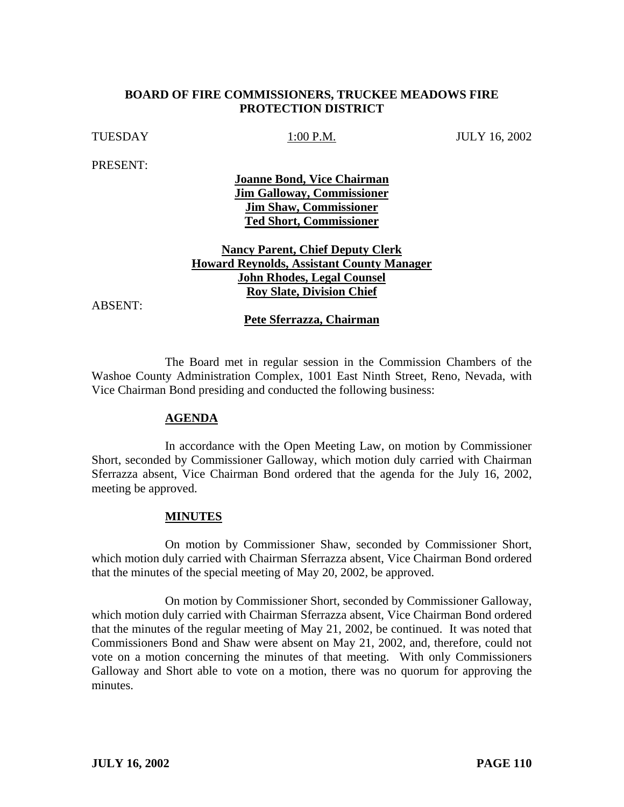## **BOARD OF FIRE COMMISSIONERS, TRUCKEE MEADOWS FIRE PROTECTION DISTRICT**

# TUESDAY 1:00 P.M. JULY 16, 2002

PRESENT:

**Joanne Bond, Vice Chairman Jim Galloway, Commissioner Jim Shaw, Commissioner Ted Short, Commissioner**

**Nancy Parent, Chief Deputy Clerk Howard Reynolds, Assistant County Manager John Rhodes, Legal Counsel Roy Slate, Division Chief**

ABSENT:

### **Pete Sferrazza, Chairman**

The Board met in regular session in the Commission Chambers of the Washoe County Administration Complex, 1001 East Ninth Street, Reno, Nevada, with Vice Chairman Bond presiding and conducted the following business:

#### **AGENDA**

In accordance with the Open Meeting Law, on motion by Commissioner Short, seconded by Commissioner Galloway, which motion duly carried with Chairman Sferrazza absent, Vice Chairman Bond ordered that the agenda for the July 16, 2002, meeting be approved.

### **MINUTES**

On motion by Commissioner Shaw, seconded by Commissioner Short, which motion duly carried with Chairman Sferrazza absent, Vice Chairman Bond ordered that the minutes of the special meeting of May 20, 2002, be approved.

On motion by Commissioner Short, seconded by Commissioner Galloway, which motion duly carried with Chairman Sferrazza absent, Vice Chairman Bond ordered that the minutes of the regular meeting of May 21, 2002, be continued. It was noted that Commissioners Bond and Shaw were absent on May 21, 2002, and, therefore, could not vote on a motion concerning the minutes of that meeting. With only Commissioners Galloway and Short able to vote on a motion, there was no quorum for approving the minutes.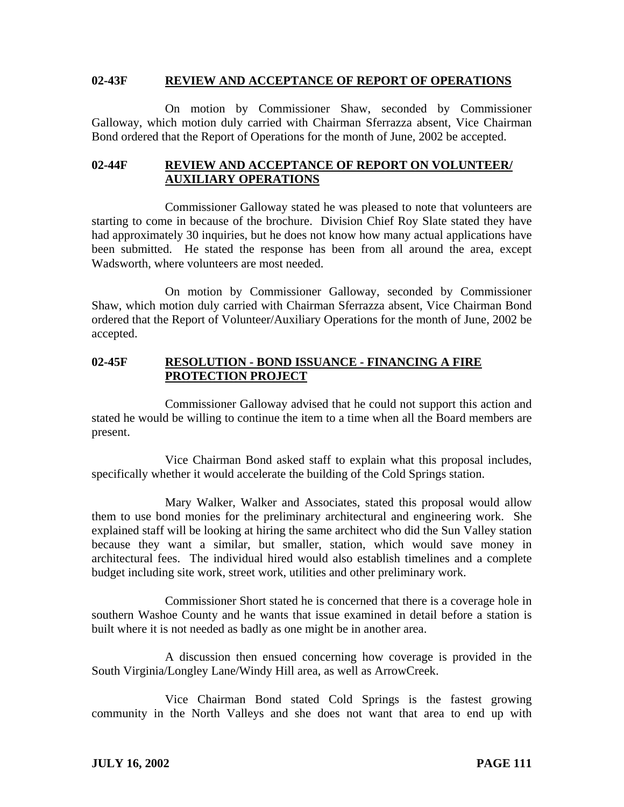### **02-43F REVIEW AND ACCEPTANCE OF REPORT OF OPERATIONS**

On motion by Commissioner Shaw, seconded by Commissioner Galloway, which motion duly carried with Chairman Sferrazza absent, Vice Chairman Bond ordered that the Report of Operations for the month of June, 2002 be accepted.

# **02-44F REVIEW AND ACCEPTANCE OF REPORT ON VOLUNTEER/ AUXILIARY OPERATIONS**

Commissioner Galloway stated he was pleased to note that volunteers are starting to come in because of the brochure. Division Chief Roy Slate stated they have had approximately 30 inquiries, but he does not know how many actual applications have been submitted. He stated the response has been from all around the area, except Wadsworth, where volunteers are most needed.

On motion by Commissioner Galloway, seconded by Commissioner Shaw, which motion duly carried with Chairman Sferrazza absent, Vice Chairman Bond ordered that the Report of Volunteer/Auxiliary Operations for the month of June, 2002 be accepted.

## **02-45F RESOLUTION - BOND ISSUANCE - FINANCING A FIRE PROTECTION PROJECT**

Commissioner Galloway advised that he could not support this action and stated he would be willing to continue the item to a time when all the Board members are present.

Vice Chairman Bond asked staff to explain what this proposal includes, specifically whether it would accelerate the building of the Cold Springs station.

Mary Walker, Walker and Associates, stated this proposal would allow them to use bond monies for the preliminary architectural and engineering work. She explained staff will be looking at hiring the same architect who did the Sun Valley station because they want a similar, but smaller, station, which would save money in architectural fees. The individual hired would also establish timelines and a complete budget including site work, street work, utilities and other preliminary work.

Commissioner Short stated he is concerned that there is a coverage hole in southern Washoe County and he wants that issue examined in detail before a station is built where it is not needed as badly as one might be in another area.

A discussion then ensued concerning how coverage is provided in the South Virginia/Longley Lane/Windy Hill area, as well as ArrowCreek.

Vice Chairman Bond stated Cold Springs is the fastest growing community in the North Valleys and she does not want that area to end up with